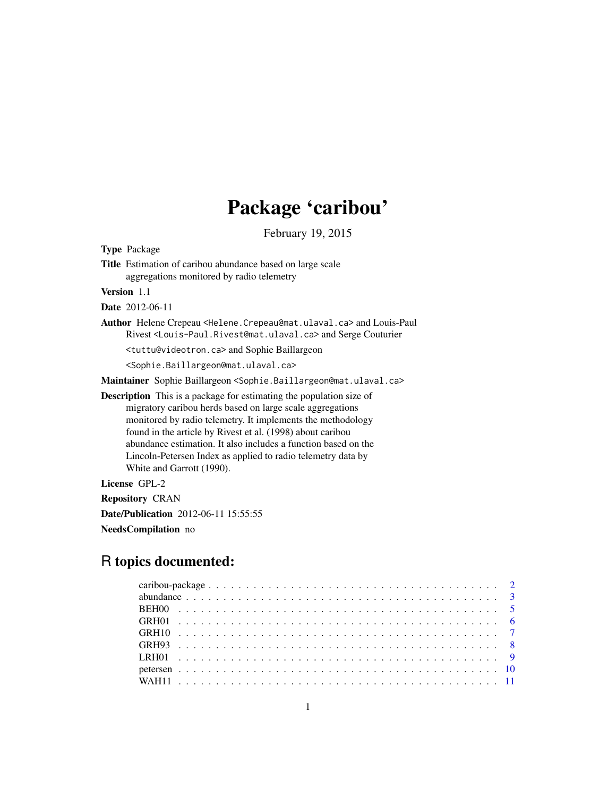# Package 'caribou'

February 19, 2015

Type Package

Title Estimation of caribou abundance based on large scale aggregations monitored by radio telemetry

Version 1.1

Date 2012-06-11

Author Helene Crepeau <Helene.Crepeau@mat.ulaval.ca> and Louis-Paul Rivest <Louis-Paul.Rivest@mat.ulaval.ca> and Serge Couturier

<tuttu@videotron.ca> and Sophie Baillargeon

<Sophie.Baillargeon@mat.ulaval.ca>

Maintainer Sophie Baillargeon <Sophie.Baillargeon@mat.ulaval.ca>

Description This is a package for estimating the population size of migratory caribou herds based on large scale aggregations monitored by radio telemetry. It implements the methodology found in the article by Rivest et al. (1998) about caribou abundance estimation. It also includes a function based on the Lincoln-Petersen Index as applied to radio telemetry data by White and Garrott (1990).

License GPL-2

Repository CRAN

Date/Publication 2012-06-11 15:55:55

NeedsCompilation no

# R topics documented: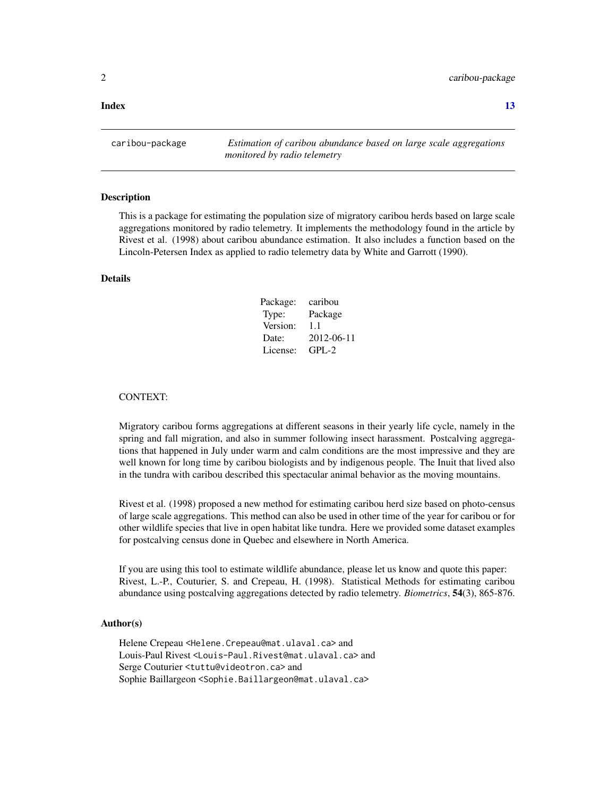#### <span id="page-1-0"></span>**Index** [13](#page-12-0)

caribou-package *Estimation of caribou abundance based on large scale aggregations monitored by radio telemetry*

#### **Description**

This is a package for estimating the population size of migratory caribou herds based on large scale aggregations monitored by radio telemetry. It implements the methodology found in the article by Rivest et al. (1998) about caribou abundance estimation. It also includes a function based on the Lincoln-Petersen Index as applied to radio telemetry data by White and Garrott (1990).

#### Details

| Package: | caribou    |
|----------|------------|
| Type:    | Package    |
| Version: | 1.1        |
| Date:    | 2012-06-11 |
| License: | $GPI - 2$  |

#### CONTEXT:

Migratory caribou forms aggregations at different seasons in their yearly life cycle, namely in the spring and fall migration, and also in summer following insect harassment. Postcalving aggregations that happened in July under warm and calm conditions are the most impressive and they are well known for long time by caribou biologists and by indigenous people. The Inuit that lived also in the tundra with caribou described this spectacular animal behavior as the moving mountains.

Rivest et al. (1998) proposed a new method for estimating caribou herd size based on photo-census of large scale aggregations. This method can also be used in other time of the year for caribou or for other wildlife species that live in open habitat like tundra. Here we provided some dataset examples for postcalving census done in Quebec and elsewhere in North America.

If you are using this tool to estimate wildlife abundance, please let us know and quote this paper: Rivest, L.-P., Couturier, S. and Crepeau, H. (1998). Statistical Methods for estimating caribou abundance using postcalving aggregations detected by radio telemetry. *Biometrics*, 54(3), 865-876.

#### Author(s)

Helene Crepeau <Helene.Crepeau@mat.ulaval.ca> and Louis-Paul Rivest <Louis-Paul.Rivest@mat.ulaval.ca> and Serge Couturier <tuttu@videotron.ca> and Sophie Baillargeon <Sophie.Baillargeon@mat.ulaval.ca>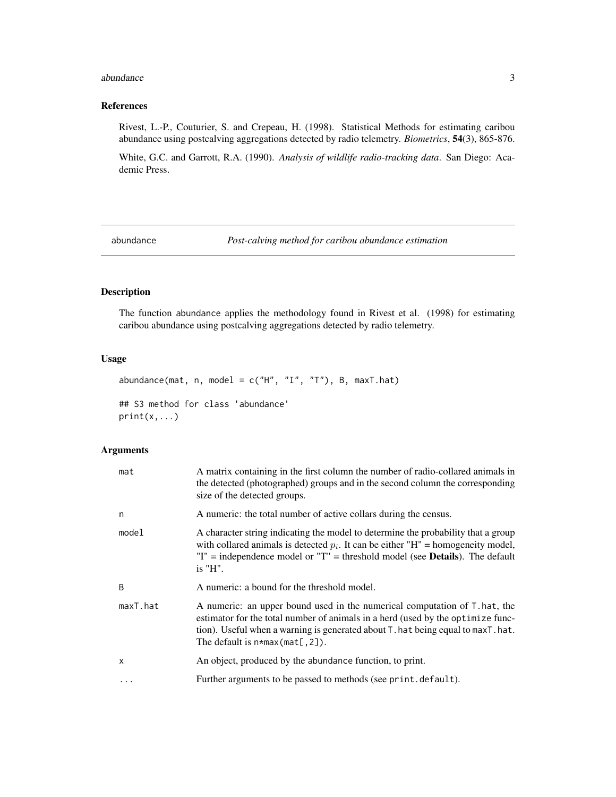#### <span id="page-2-0"></span>abundance 3

# References

Rivest, L.-P., Couturier, S. and Crepeau, H. (1998). Statistical Methods for estimating caribou abundance using postcalving aggregations detected by radio telemetry. *Biometrics*, 54(3), 865-876.

White, G.C. and Garrott, R.A. (1990). *Analysis of wildlife radio-tracking data*. San Diego: Academic Press.

<span id="page-2-1"></span>abundance *Post-calving method for caribou abundance estimation*

# Description

The function abundance applies the methodology found in Rivest et al. (1998) for estimating caribou abundance using postcalving aggregations detected by radio telemetry.

# Usage

abundance(mat, n, model =  $c("H", "I", "T"), B, maxT.hat)$ ## S3 method for class 'abundance'  $print(x, \ldots)$ 

# Arguments

| mat          | A matrix containing in the first column the number of radio-collared animals in<br>the detected (photographed) groups and in the second column the corresponding<br>size of the detected groups.                                                                                   |
|--------------|------------------------------------------------------------------------------------------------------------------------------------------------------------------------------------------------------------------------------------------------------------------------------------|
| n            | A numeric: the total number of active collars during the census.                                                                                                                                                                                                                   |
| model        | A character string indicating the model to determine the probability that a group<br>with collared animals is detected $p_i$ . It can be either "H" = homogeneity model,<br>$T =$ independence model or $T =$ threshold model (see <b>Details</b> ). The default<br>$i$ s " $H$ ". |
| <sub>B</sub> | A numeric: a bound for the threshold model.                                                                                                                                                                                                                                        |
| maxT.hat     | A numeric: an upper bound used in the numerical computation of T. hat, the<br>estimator for the total number of animals in a herd (used by the optimize func-<br>tion). Useful when a warning is generated about T. hat being equal to maxT. hat.                                  |
|              | The default is $n \star max(mat[, 2])$ .                                                                                                                                                                                                                                           |
| X            | An object, produced by the abundance function, to print.                                                                                                                                                                                                                           |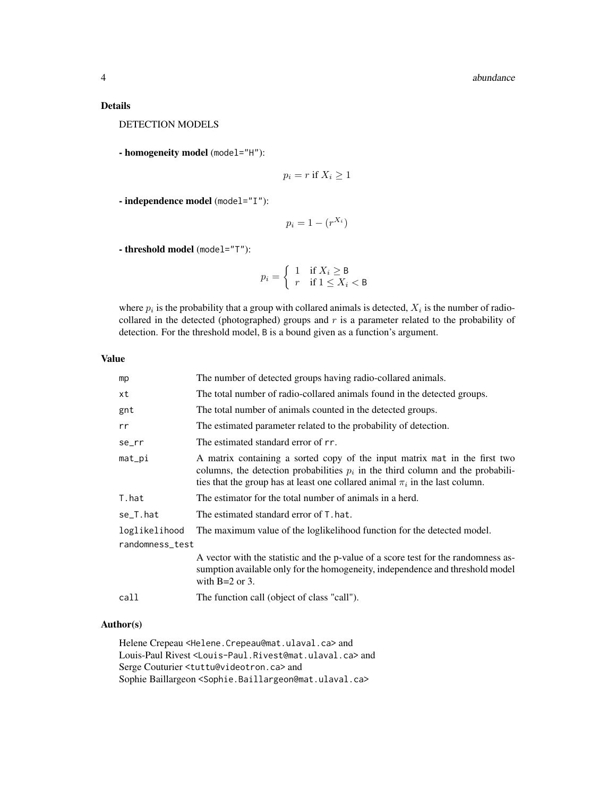Details

DETECTION MODELS

- homogeneity model (model="H"):

$$
p_i = r \text{ if } X_i \ge 1
$$

- independence model (model="I"):

$$
p_i = 1 - (r^{X_i})
$$

- threshold model (model="T"):

$$
p_i = \begin{cases} 1 & \text{if } X_i \ge \mathsf{B} \\ r & \text{if } 1 \le X_i < \mathsf{B} \end{cases}
$$

where  $p_i$  is the probability that a group with collared animals is detected,  $X_i$  is the number of radiocollared in the detected (photographed) groups and  $r$  is a parameter related to the probability of detection. For the threshold model, B is a bound given as a function's argument.

# Value

| mp              | The number of detected groups having radio-collared animals.                                                                                                                                                                                        |  |  |  |
|-----------------|-----------------------------------------------------------------------------------------------------------------------------------------------------------------------------------------------------------------------------------------------------|--|--|--|
| xt              | The total number of radio-collared animals found in the detected groups.                                                                                                                                                                            |  |  |  |
| gnt             | The total number of animals counted in the detected groups.                                                                                                                                                                                         |  |  |  |
| rr              | The estimated parameter related to the probability of detection.                                                                                                                                                                                    |  |  |  |
| se_rr           | The estimated standard error of rr.                                                                                                                                                                                                                 |  |  |  |
| $mat\_pi$       | A matrix containing a sorted copy of the input matrix mat in the first two<br>columns, the detection probabilities $p_i$ in the third column and the probabili-<br>ties that the group has at least one collared animal $\pi_i$ in the last column. |  |  |  |
| T.hat           | The estimator for the total number of animals in a herd.                                                                                                                                                                                            |  |  |  |
| se_T.hat        | The estimated standard error of T, hat,                                                                                                                                                                                                             |  |  |  |
| loglikelihood   | The maximum value of the loglikelihood function for the detected model.                                                                                                                                                                             |  |  |  |
| randomness_test |                                                                                                                                                                                                                                                     |  |  |  |
|                 | A vector with the statistic and the p-value of a score test for the randomness as-<br>sumption available only for the homogeneity, independence and threshold model<br>with $B=2$ or 3.                                                             |  |  |  |
| call            | The function call (object of class "call").                                                                                                                                                                                                         |  |  |  |
|                 |                                                                                                                                                                                                                                                     |  |  |  |

# Author(s)

Helene Crepeau <Helene.Crepeau@mat.ulaval.ca> and Louis-Paul Rivest <Louis-Paul.Rivest@mat.ulaval.ca> and Serge Couturier <tuttu@videotron.ca> and Sophie Baillargeon <Sophie.Baillargeon@mat.ulaval.ca>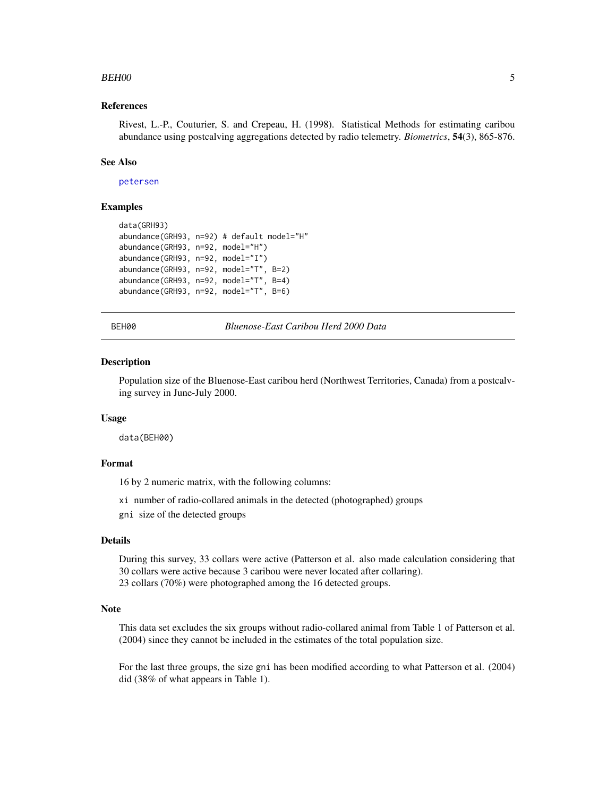#### <span id="page-4-0"></span> $BEH00$  5

# References

Rivest, L.-P., Couturier, S. and Crepeau, H. (1998). Statistical Methods for estimating caribou abundance using postcalving aggregations detected by radio telemetry. *Biometrics*, 54(3), 865-876.

# See Also

[petersen](#page-9-1)

# Examples

```
data(GRH93)
abundance(GRH93, n=92) # default model="H"
abundance(GRH93, n=92, model="H")
abundance(GRH93, n=92, model="I")
abundance(GRH93, n=92, model="T", B=2)
abundance(GRH93, n=92, model="T", B=4)
abundance(GRH93, n=92, model="T", B=6)
```
BEH00 *Bluenose-East Caribou Herd 2000 Data*

#### Description

Population size of the Bluenose-East caribou herd (Northwest Territories, Canada) from a postcalving survey in June-July 2000.

#### Usage

data(BEH00)

# Format

16 by 2 numeric matrix, with the following columns:

xi number of radio-collared animals in the detected (photographed) groups

gni size of the detected groups

#### Details

During this survey, 33 collars were active (Patterson et al. also made calculation considering that 30 collars were active because 3 caribou were never located after collaring). 23 collars (70%) were photographed among the 16 detected groups.

#### **Note**

This data set excludes the six groups without radio-collared animal from Table 1 of Patterson et al. (2004) since they cannot be included in the estimates of the total population size.

For the last three groups, the size gni has been modified according to what Patterson et al. (2004) did (38% of what appears in Table 1).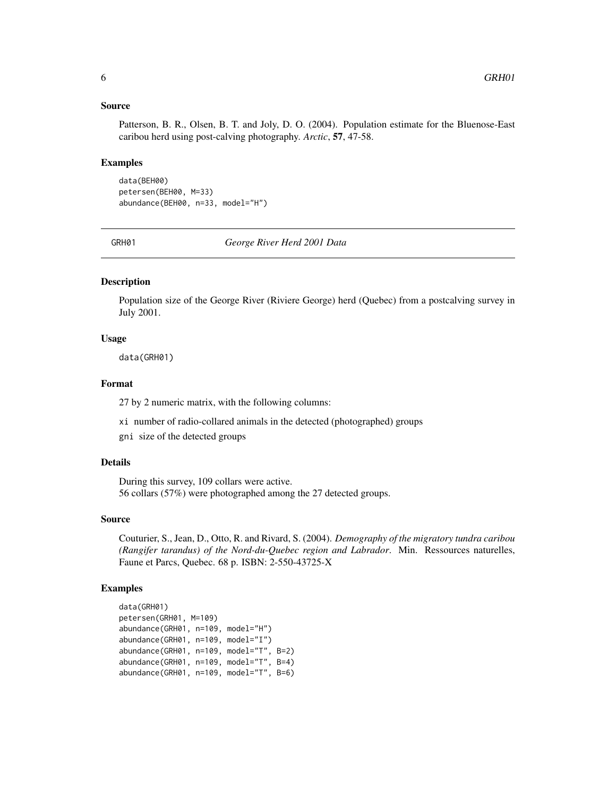#### <span id="page-5-0"></span>Source

Patterson, B. R., Olsen, B. T. and Joly, D. O. (2004). Population estimate for the Bluenose-East caribou herd using post-calving photography. *Arctic*, 57, 47-58.

### Examples

data(BEH00) petersen(BEH00, M=33) abundance(BEH00, n=33, model="H")

GRH01 *George River Herd 2001 Data*

# Description

Population size of the George River (Riviere George) herd (Quebec) from a postcalving survey in July 2001.

# Usage

data(GRH01)

# Format

27 by 2 numeric matrix, with the following columns:

- xi number of radio-collared animals in the detected (photographed) groups
- gni size of the detected groups

# Details

During this survey, 109 collars were active. 56 collars (57%) were photographed among the 27 detected groups.

#### Source

Couturier, S., Jean, D., Otto, R. and Rivard, S. (2004). *Demography of the migratory tundra caribou (Rangifer tarandus) of the Nord-du-Quebec region and Labrador*. Min. Ressources naturelles, Faune et Parcs, Quebec. 68 p. ISBN: 2-550-43725-X

```
data(GRH01)
petersen(GRH01, M=109)
abundance(GRH01, n=109, model="H")
abundance(GRH01, n=109, model="I")
abundance(GRH01, n=109, model="T", B=2)
abundance(GRH01, n=109, model="T", B=4)
abundance(GRH01, n=109, model="T", B=6)
```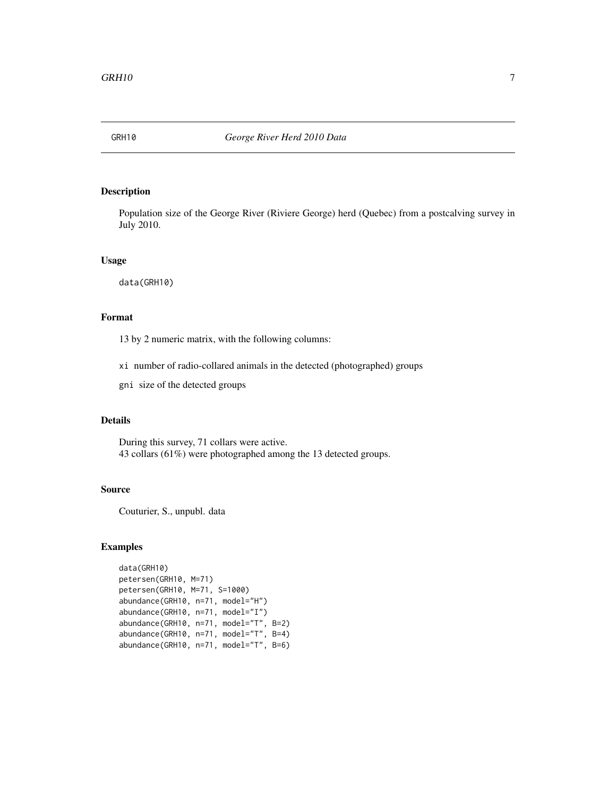<span id="page-6-0"></span>

Population size of the George River (Riviere George) herd (Quebec) from a postcalving survey in July 2010.

### Usage

data(GRH10)

# Format

13 by 2 numeric matrix, with the following columns:

xi number of radio-collared animals in the detected (photographed) groups

gni size of the detected groups

# Details

During this survey, 71 collars were active. 43 collars (61%) were photographed among the 13 detected groups.

# Source

Couturier, S., unpubl. data

```
data(GRH10)
petersen(GRH10, M=71)
petersen(GRH10, M=71, S=1000)
abundance(GRH10, n=71, model="H")
abundance(GRH10, n=71, model="I")
abundance(GRH10, n=71, model="T", B=2)
abundance(GRH10, n=71, model="T", B=4)
abundance(GRH10, n=71, model="T", B=6)
```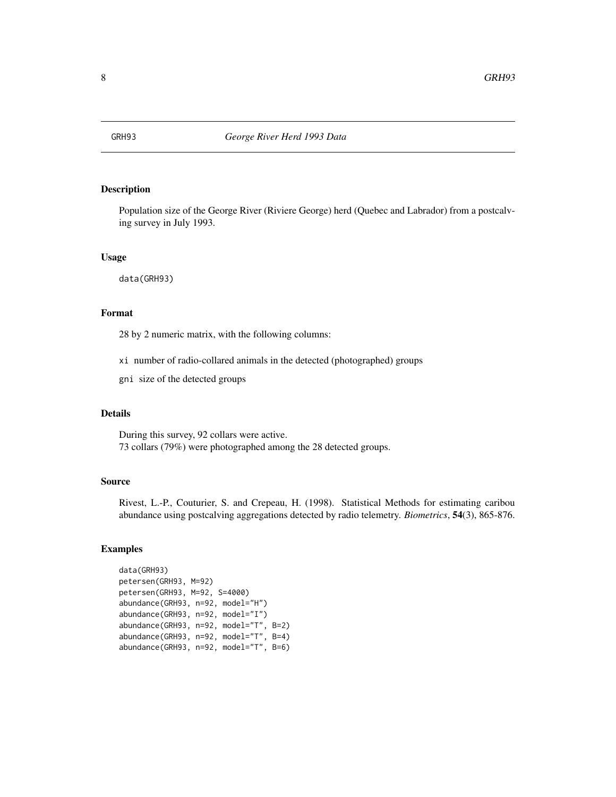<span id="page-7-0"></span>

Population size of the George River (Riviere George) herd (Quebec and Labrador) from a postcalving survey in July 1993.

#### Usage

data(GRH93)

# Format

28 by 2 numeric matrix, with the following columns:

- xi number of radio-collared animals in the detected (photographed) groups
- gni size of the detected groups

# Details

During this survey, 92 collars were active. 73 collars (79%) were photographed among the 28 detected groups.

# Source

Rivest, L.-P., Couturier, S. and Crepeau, H. (1998). Statistical Methods for estimating caribou abundance using postcalving aggregations detected by radio telemetry. *Biometrics*, 54(3), 865-876.

```
data(GRH93)
petersen(GRH93, M=92)
petersen(GRH93, M=92, S=4000)
abundance(GRH93, n=92, model="H")
abundance(GRH93, n=92, model="I")
abundance(GRH93, n=92, model="T", B=2)
abundance(GRH93, n=92, model="T", B=4)
abundance(GRH93, n=92, model="T", B=6)
```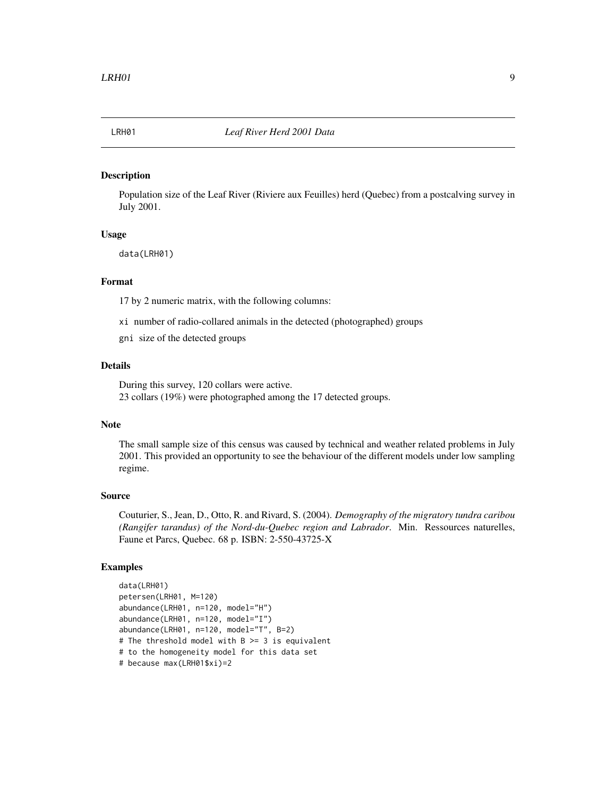<span id="page-8-0"></span>

Population size of the Leaf River (Riviere aux Feuilles) herd (Quebec) from a postcalving survey in July 2001.

### Usage

data(LRH01)

# Format

17 by 2 numeric matrix, with the following columns:

- xi number of radio-collared animals in the detected (photographed) groups
- gni size of the detected groups

# Details

During this survey, 120 collars were active. 23 collars (19%) were photographed among the 17 detected groups.

# Note

The small sample size of this census was caused by technical and weather related problems in July 2001. This provided an opportunity to see the behaviour of the different models under low sampling regime.

# Source

Couturier, S., Jean, D., Otto, R. and Rivard, S. (2004). *Demography of the migratory tundra caribou (Rangifer tarandus) of the Nord-du-Quebec region and Labrador*. Min. Ressources naturelles, Faune et Parcs, Quebec. 68 p. ISBN: 2-550-43725-X

```
data(LRH01)
petersen(LRH01, M=120)
abundance(LRH01, n=120, model="H")
abundance(LRH01, n=120, model="I")
abundance(LRH01, n=120, model="T", B=2)
# The threshold model with B >= 3 is equivalent
# to the homogeneity model for this data set
# because max(LRH01$xi)=2
```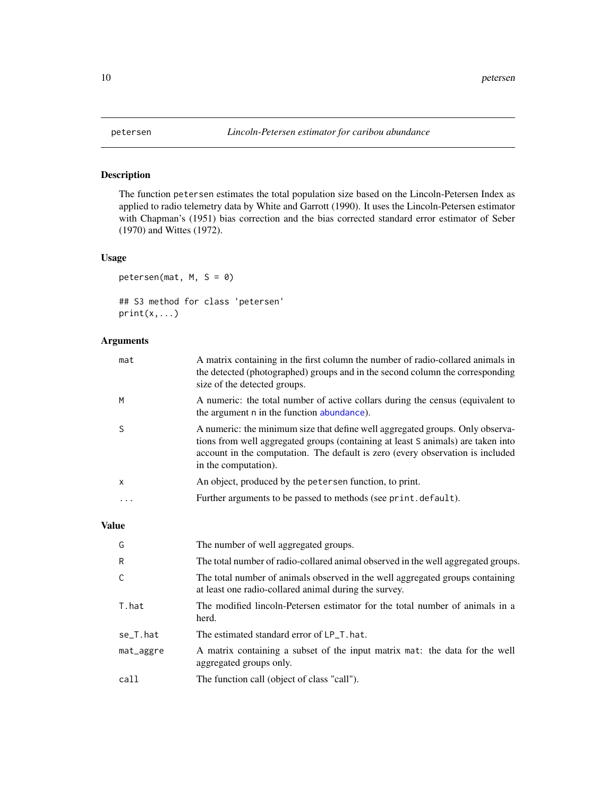<span id="page-9-1"></span><span id="page-9-0"></span>

The function petersen estimates the total population size based on the Lincoln-Petersen Index as applied to radio telemetry data by White and Garrott (1990). It uses the Lincoln-Petersen estimator with Chapman's (1951) bias correction and the bias corrected standard error estimator of Seber (1970) and Wittes (1972).

# Usage

```
petersen(mat, M, S = 0)
## S3 method for class 'petersen'
print(x, \ldots)
```
# Arguments

| mat       | A matrix containing in the first column the number of radio-collared animals in<br>the detected (photographed) groups and in the second column the corresponding<br>size of the detected groups.                                                                            |
|-----------|-----------------------------------------------------------------------------------------------------------------------------------------------------------------------------------------------------------------------------------------------------------------------------|
| M         | A numeric: the total number of active collars during the census (equivalent to<br>the argument n in the function abundance).                                                                                                                                                |
|           | A numeric: the minimum size that define well aggregated groups. Only observa-<br>tions from well aggregated groups (containing at least S animals) are taken into<br>account in the computation. The default is zero (every observation is included<br>in the computation). |
| X         | An object, produced by the petersen function, to print.                                                                                                                                                                                                                     |
| $\ddotsc$ | Further arguments to be passed to methods (see print. default).                                                                                                                                                                                                             |

# Value

| G         | The number of well aggregated groups.                                                                                                  |
|-----------|----------------------------------------------------------------------------------------------------------------------------------------|
| R         | The total number of radio-collared animal observed in the well aggregated groups.                                                      |
| C         | The total number of animals observed in the well aggregated groups containing<br>at least one radio-collared animal during the survey. |
| T.hat     | The modified lincoln-Petersen estimator for the total number of animals in a<br>herd.                                                  |
| se_T.hat  | The estimated standard error of LP_T. hat.                                                                                             |
| mat_aggre | A matrix containing a subset of the input matrix mat: the data for the well<br>aggregated groups only.                                 |
| call      | The function call (object of class "call").                                                                                            |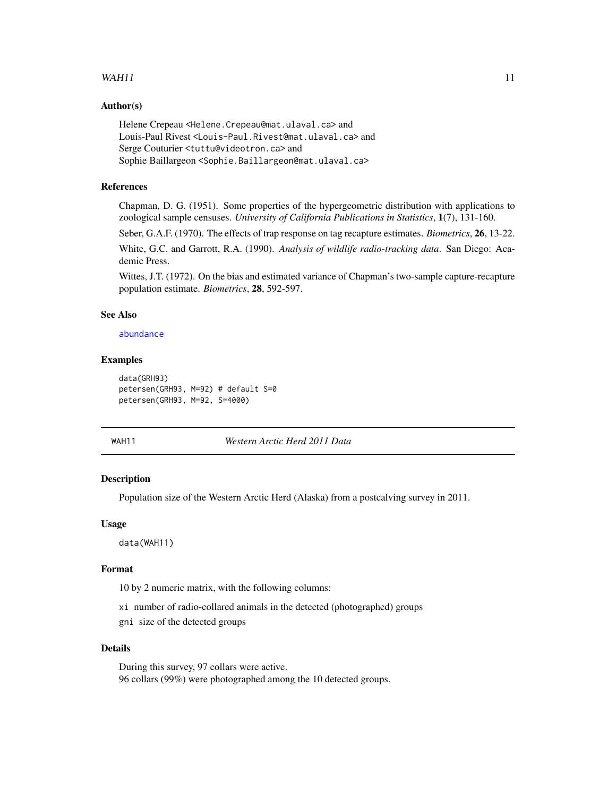# <span id="page-10-0"></span> $WAH11$  11

# Author(s)

Helene Crepeau <Helene.Crepeau@mat.ulaval.ca> and Louis-Paul Rivest <Louis-Paul.Rivest@mat.ulaval.ca> and Serge Couturier <tuttu@videotron.ca> and Sophie Baillargeon <Sophie.Baillargeon@mat.ulaval.ca>

# References

Chapman, D. G. (1951). Some properties of the hypergeometric distribution with applications to zoological sample censuses. *University of California Publications in Statistics*, 1(7), 131-160.

Seber, G.A.F. (1970). The effects of trap response on tag recapture estimates. *Biometrics*, 26, 13-22.

White, G.C. and Garrott, R.A. (1990). *Analysis of wildlife radio-tracking data*. San Diego: Academic Press.

Wittes, J.T. (1972). On the bias and estimated variance of Chapman's two-sample capture-recapture population estimate. *Biometrics*, 28, 592-597.

# See Also

[abundance](#page-2-1)

# Examples

```
data(GRH93)
petersen(GRH93, M=92) # default S=0
petersen(GRH93, M=92, S=4000)
```
WAH11 *Western Arctic Herd 2011 Data*

# Description

Population size of the Western Arctic Herd (Alaska) from a postcalving survey in 2011.

# Usage

data(WAH11)

#### Format

10 by 2 numeric matrix, with the following columns:

xi number of radio-collared animals in the detected (photographed) groups

gni size of the detected groups

#### Details

During this survey, 97 collars were active. 96 collars (99%) were photographed among the 10 detected groups.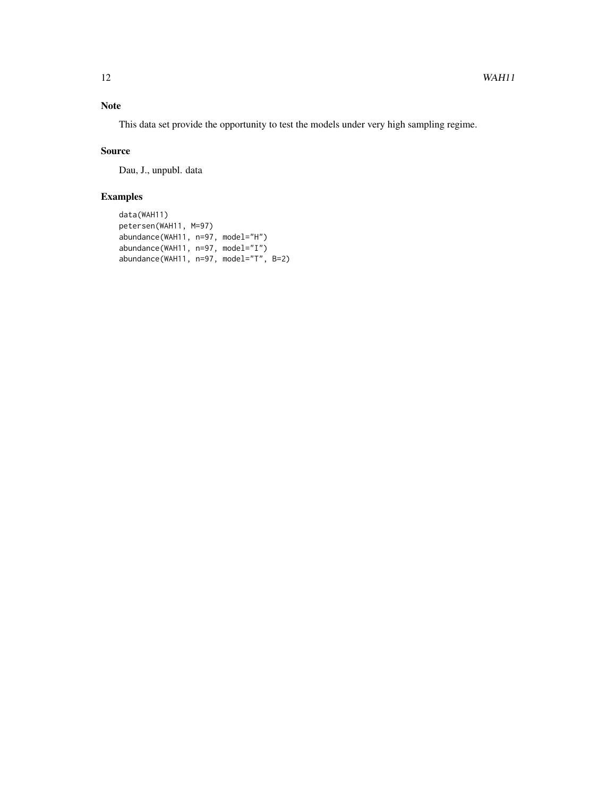# Note

This data set provide the opportunity to test the models under very high sampling regime.

# Source

Dau, J., unpubl. data

```
data(WAH11)
petersen(WAH11, M=97)
abundance(WAH11, n=97, model="H")
abundance(WAH11, n=97, model="I")
abundance(WAH11, n=97, model="T", B=2)
```